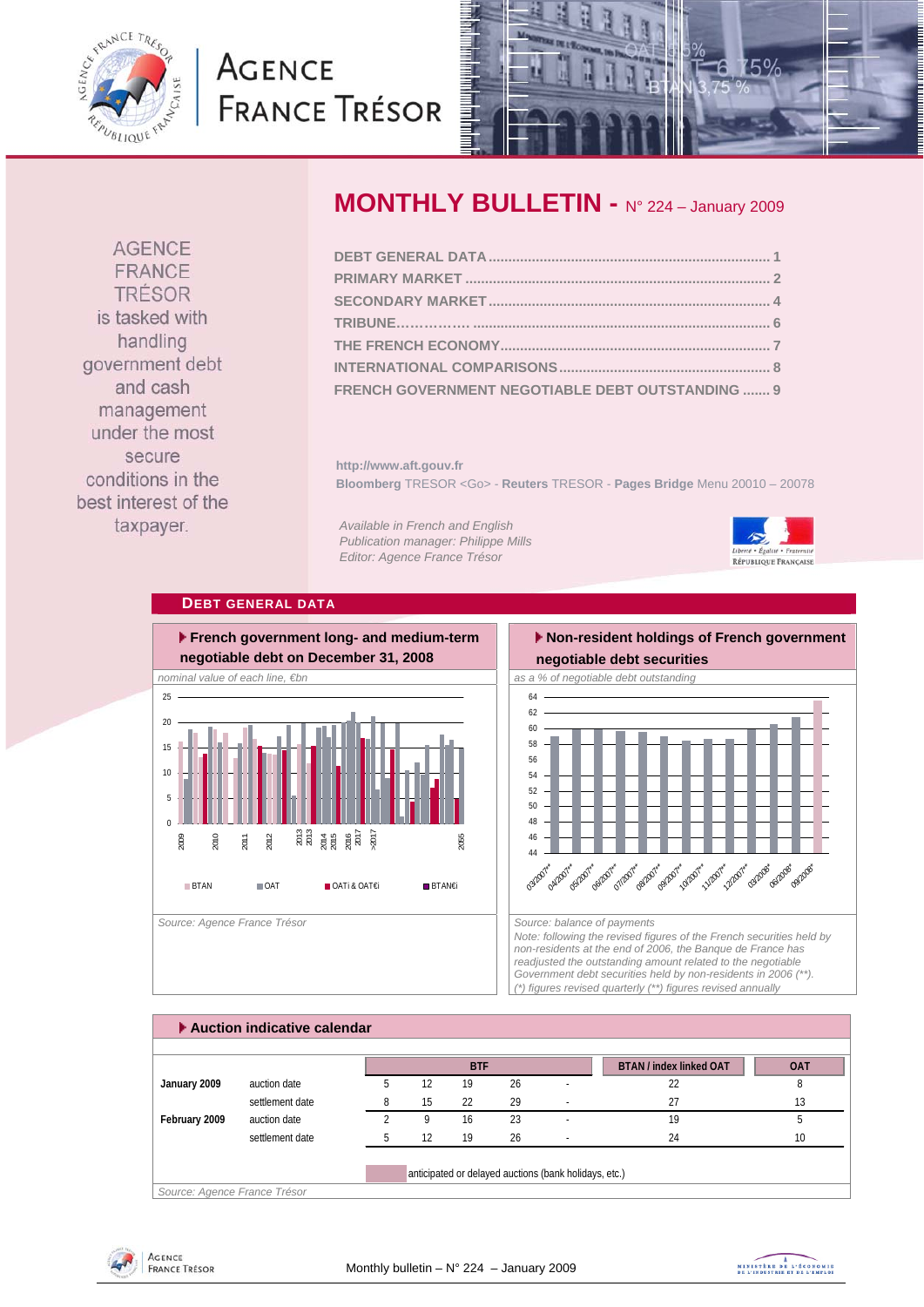

# **AGENCE FRANCE TRÉSOR**



**AGENCE** FRANCE TRÉSOR is tasked with handling government debt and cash management under the most secure conditions in the best interest of the taxpayer.

# **MONTHLY BULLETIN -** N° 224 – January 2009

| FRENCH GOVERNMENT NEGOTIABLE DEBT OUTSTANDING  9 |  |
|--------------------------------------------------|--|

**http://www.aft.gouv.fr Bloomberg** TRESOR <Go> - **Reuters** TRESOR - **Pages Bridge** Menu 20010 – 20078

*Available in French and English Publication manager: Philippe Mills Editor: Agence France Trésor* 



### **DEBT GENERAL DATA**



## **Non-resident holdings of French government**



*Note: following the revised figures of the French securities held by non-residents at the end of 2006, the Banque de France has readjusted the outstanding amount related to the negotiable Government debt securities held by non-residents in 2006 (\*\*). (\*) figures revised quarterly (\*\*) figures revised annually* 

|               |                 |    |    | <b>BTF</b> |    |                          | <b>BTAN</b> / index linked OAT | <b>OAT</b> |
|---------------|-----------------|----|----|------------|----|--------------------------|--------------------------------|------------|
| January 2009  | auction date    | b. | 12 | 19         | 26 | $\overline{\phantom{a}}$ | 22                             | 8          |
|               | settlement date |    | 15 | 22         | 29 |                          | 27                             | 13         |
| February 2009 | auction date    |    | q  | 16         | 23 | $\overline{\phantom{a}}$ | 19                             |            |
|               | settlement date |    | 12 | 19         | 26 |                          | 24                             | 10         |



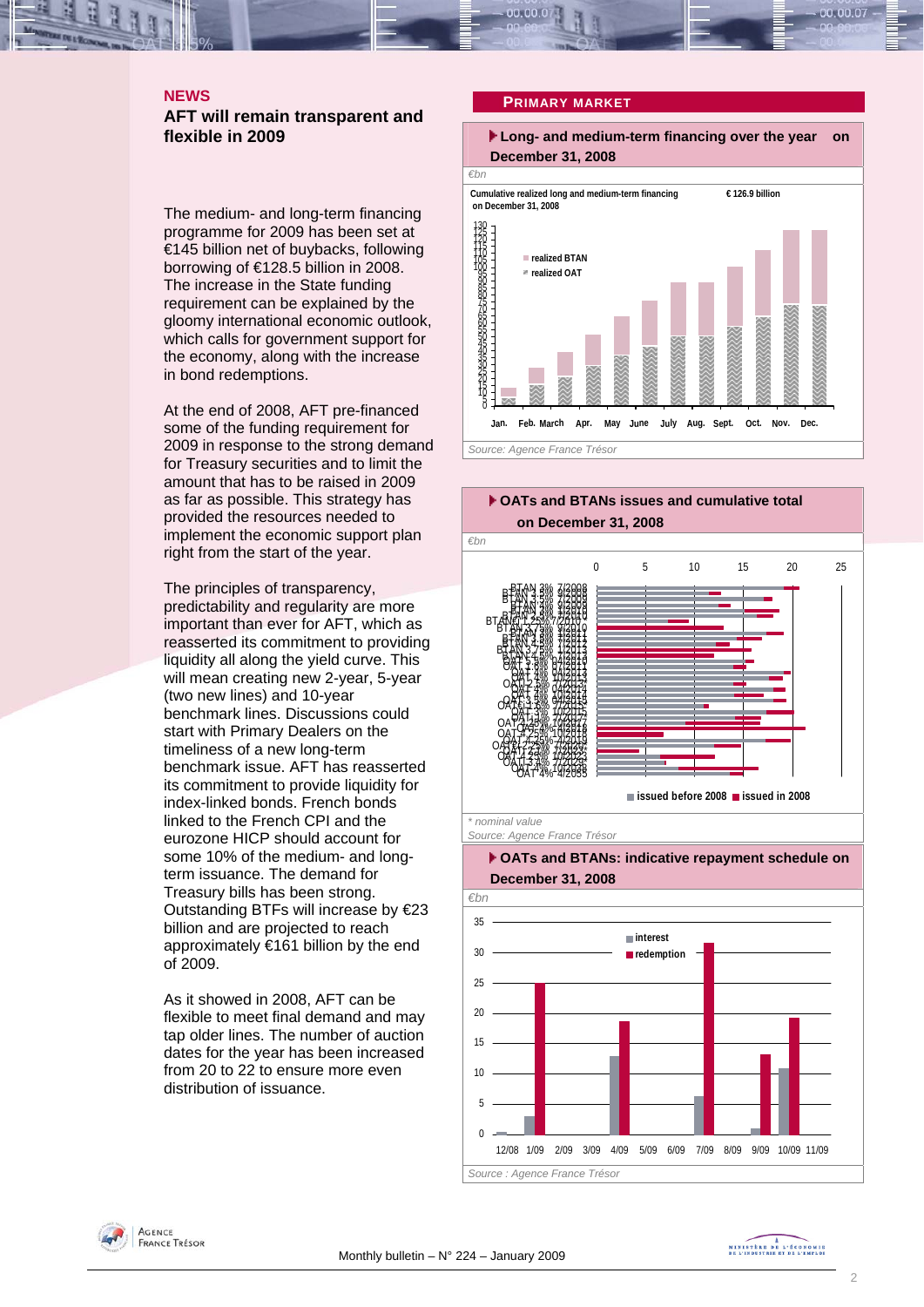### **NEWS AFT will remain transparent and flexible in 2009**

The medium- and long-term financing programme for 2009 has been set at €145 billion net of buybacks, following borrowing of €128.5 billion in 2008. The increase in the State funding requirement can be explained by the gloomy international economic outlook, which calls for government support for the economy, along with the increase in bond redemptions.

At the end of 2008, AFT pre-financed some of the funding requirement for 2009 in response to the strong demand for Treasury securities and to limit the amount that has to be raised in 2009 as far as possible. This strategy has provided the resources needed to implement the economic support plan right from the start of the year.

The principles of transparency, predictability and regularity are more important than ever for AFT, which as reasserted its commitment to providing liquidity all along the yield curve. This will mean creating new 2-year, 5-year (two new lines) and 10-year benchmark lines. Discussions could start with Primary Dealers on the timeliness of a new long-term benchmark issue. AFT has reasserted its commitment to provide liquidity for index-linked bonds. French bonds linked to the French CPI and the eurozone HICP should account for some 10% of the medium- and longterm issuance. The demand for Treasury bills has been strong. Outstanding BTFs will increase by €23 billion and are projected to reach approximately €161 billion by the end of 2009.

As it showed in 2008, AFT can be flexible to meet final demand and may tap older lines. The number of auction dates for the year has been increased from 20 to 22 to ensure more even distribution of issuance.

#### **PRIMARY MARKET**





12/08 1/09 2/09 3/09 4/09 5/09 6/09 7/09 8/09 9/09 10/09 11/09

 $\overline{0}$ 

*Source : Agence France Trésor* 

AGENCE **FRANCE TRÉSOR**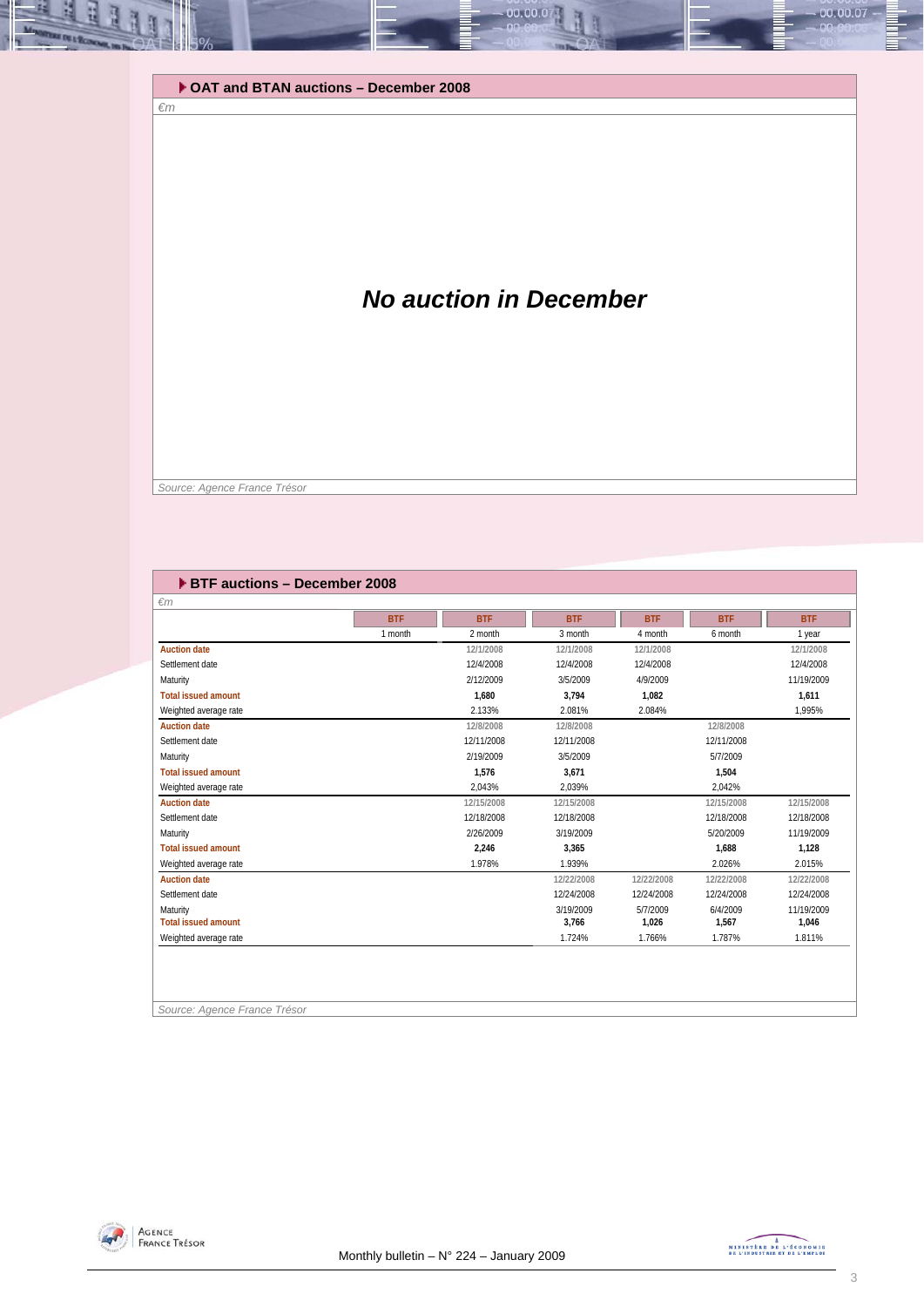#### **OAT and BTAN auctions – December 2008**

# *No auction in December*

00.00.0

 *Source: Agence France Trésor* 

*€m* 

| <b>EXTE</b> auctions - December 2008 |            |            |            |            |            |            |
|--------------------------------------|------------|------------|------------|------------|------------|------------|
| $\epsilon$ m                         |            |            |            |            |            |            |
|                                      | <b>BTF</b> | <b>BTF</b> | <b>BTF</b> | <b>BTF</b> | <b>BTF</b> | <b>BTF</b> |
|                                      | 1 month    | 2 month    | 3 month    | 4 month    | 6 month    | 1 year     |
| <b>Auction date</b>                  |            | 12/1/2008  | 12/1/2008  | 12/1/2008  |            | 12/1/2008  |
| Settlement date                      |            | 12/4/2008  | 12/4/2008  | 12/4/2008  |            | 12/4/2008  |
| Maturity                             |            | 2/12/2009  | 3/5/2009   | 4/9/2009   |            | 11/19/2009 |
| <b>Total issued amount</b>           |            | 1.680      | 3.794      | 1,082      |            | 1.611      |
| Weighted average rate                |            | 2.133%     | 2.081%     | 2.084%     |            | 1,995%     |
| <b>Auction date</b>                  |            | 12/8/2008  | 12/8/2008  |            | 12/8/2008  |            |
| Settlement date                      |            | 12/11/2008 | 12/11/2008 |            | 12/11/2008 |            |
| Maturity                             |            | 2/19/2009  | 3/5/2009   |            | 5/7/2009   |            |
| <b>Total issued amount</b>           |            | 1.576      | 3,671      |            | 1,504      |            |
| Weighted average rate                |            | 2.043%     | 2.039%     |            | 2.042%     |            |
| <b>Auction date</b>                  |            | 12/15/2008 | 12/15/2008 |            | 12/15/2008 | 12/15/2008 |
| Settlement date                      |            | 12/18/2008 | 12/18/2008 |            | 12/18/2008 | 12/18/2008 |
| Maturity                             |            | 2/26/2009  | 3/19/2009  |            | 5/20/2009  | 11/19/2009 |
| <b>Total issued amount</b>           |            | 2,246      | 3,365      |            | 1,688      | 1,128      |
| Weighted average rate                |            | 1.978%     | 1.939%     |            | 2.026%     | 2.015%     |
| <b>Auction date</b>                  |            |            | 12/22/2008 | 12/22/2008 | 12/22/2008 | 12/22/2008 |
| Settlement date                      |            |            | 12/24/2008 | 12/24/2008 | 12/24/2008 | 12/24/2008 |
| Maturity                             |            |            | 3/19/2009  | 5/7/2009   | 6/4/2009   | 11/19/2009 |
| <b>Total issued amount</b>           |            |            | 3,766      | 1,026      | 1,567      | 1,046      |
| Weighted average rate                |            |            | 1.724%     | 1.766%     | 1.787%     | 1.811%     |
|                                      |            |            |            |            |            |            |
|                                      |            |            |            |            |            |            |

*Source: Agence France Trésor* 



00.00.07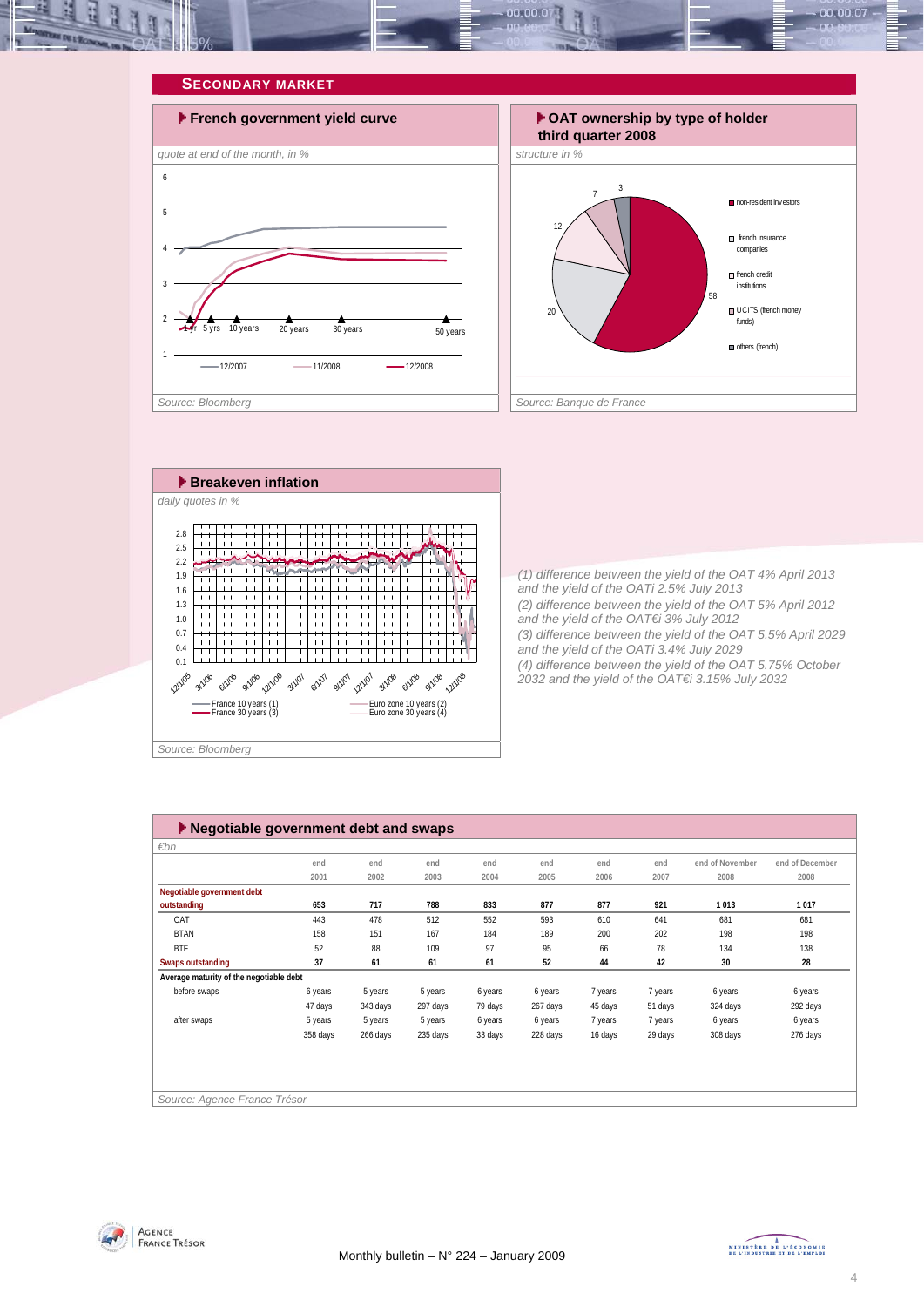









*(1) difference between the yield of the OAT 4% April 2013 and the yield of the OATi 2.5% July 2013 (2) difference between the yield of the OAT 5% April 2012 and the yield of the OAT€i 3% July 2012 (3) difference between the yield of the OAT 5.5% April 2029 and the yield of the OATi 3.4% July 2029 (4) difference between the yield of the OAT 5.75% October 2032 and the yield of the OAT€i 3.15% July 2032* 

| $\blacktriangleright$ Negotiable government debt and swaps |          |          |          |         |          |         |         |                 |                 |  |  |
|------------------------------------------------------------|----------|----------|----------|---------|----------|---------|---------|-----------------|-----------------|--|--|
| $\varepsilon$ bn                                           |          |          |          |         |          |         |         |                 |                 |  |  |
|                                                            | end      | end      | end      | end     | end      | end     | end     | end of November | end of December |  |  |
|                                                            | 2001     | 2002     | 2003     | 2004    | 2005     | 2006    | 2007    | 2008            | 2008            |  |  |
| Negotiable government debt                                 |          |          |          |         |          |         |         |                 |                 |  |  |
| outstanding                                                | 653      | 717      | 788      | 833     | 877      | 877     | 921     | 1013            | 1017            |  |  |
| OAT                                                        | 443      | 478      | 512      | 552     | 593      | 610     | 641     | 681             | 681             |  |  |
| <b>BTAN</b>                                                | 158      | 151      | 167      | 184     | 189      | 200     | 202     | 198             | 198             |  |  |
| <b>BTF</b>                                                 | 52       | 88       | 109      | 97      | 95       | 66      | 78      | 134             | 138             |  |  |
| <b>Swaps outstanding</b>                                   | 37       | 61       | 61       | 61      | 52       | 44      | 42      | 30              | 28              |  |  |
| Average maturity of the negotiable debt                    |          |          |          |         |          |         |         |                 |                 |  |  |
| before swaps                                               | 6 years  | 5 years  | 5 years  | 6 years | 6 years  | 7 years | 7 years | 6 years         | 6 years         |  |  |
|                                                            | 47 days  | 343 days | 297 days | 79 days | 267 days | 45 days | 51 days | 324 days        | 292 days        |  |  |
| after swaps                                                | 5 years  | 5 years  | 5 years  | 6 years | 6 years  | 7 years | 7 years | 6 years         | 6 years         |  |  |
|                                                            | 358 days | 266 days | 235 days | 33 days | 228 days | 16 days | 29 days | 308 days        | 276 days        |  |  |
|                                                            |          |          |          |         |          |         |         |                 |                 |  |  |
|                                                            |          |          |          |         |          |         |         |                 |                 |  |  |
|                                                            |          |          |          |         |          |         |         |                 |                 |  |  |
| Source: Agence France Trésor                               |          |          |          |         |          |         |         |                 |                 |  |  |



MINISTÈRE DE L'ÉCONOMIE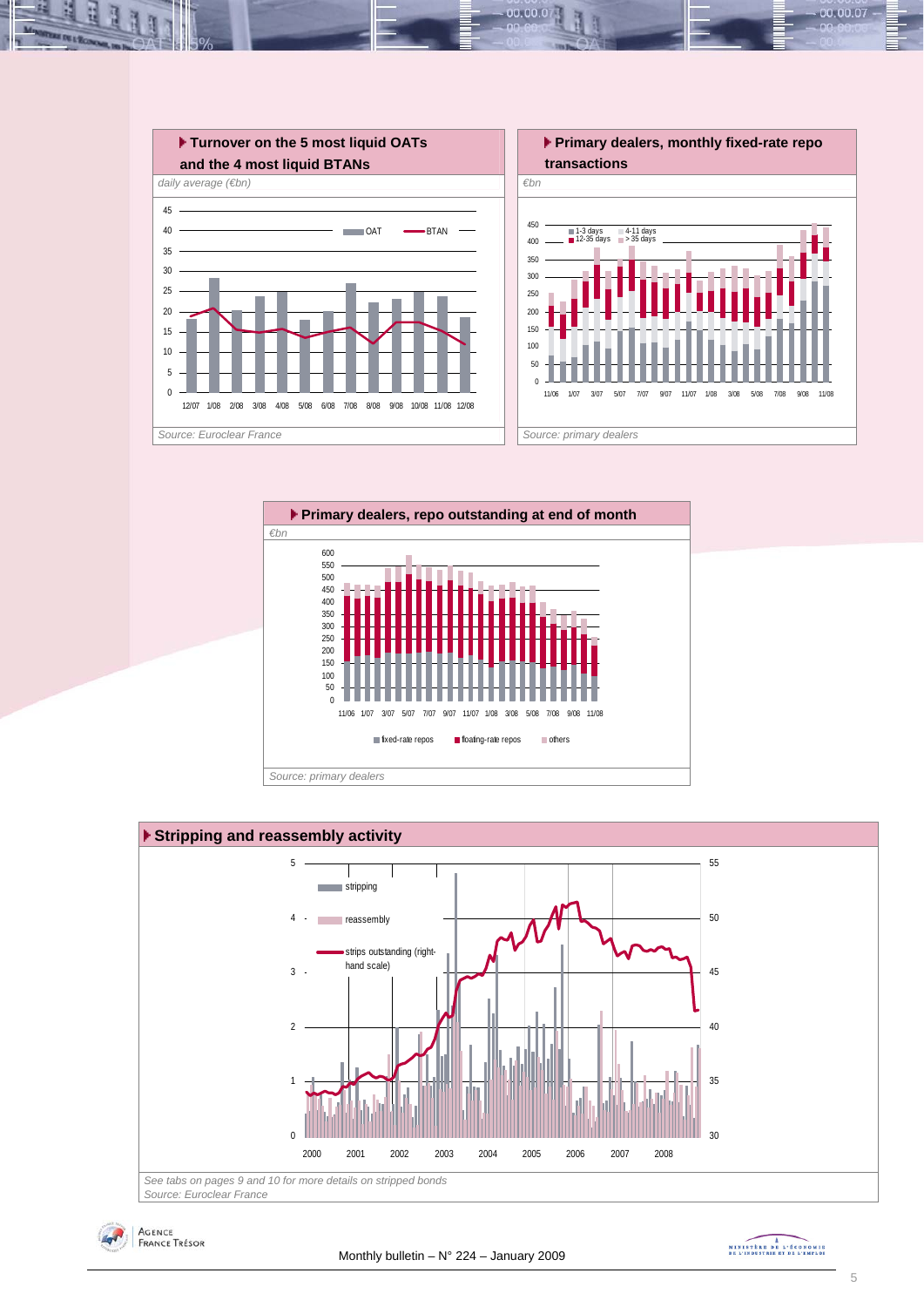

 $00.00.0$ 







MINISTREE DE L'ÉCONOMIE

00.00.07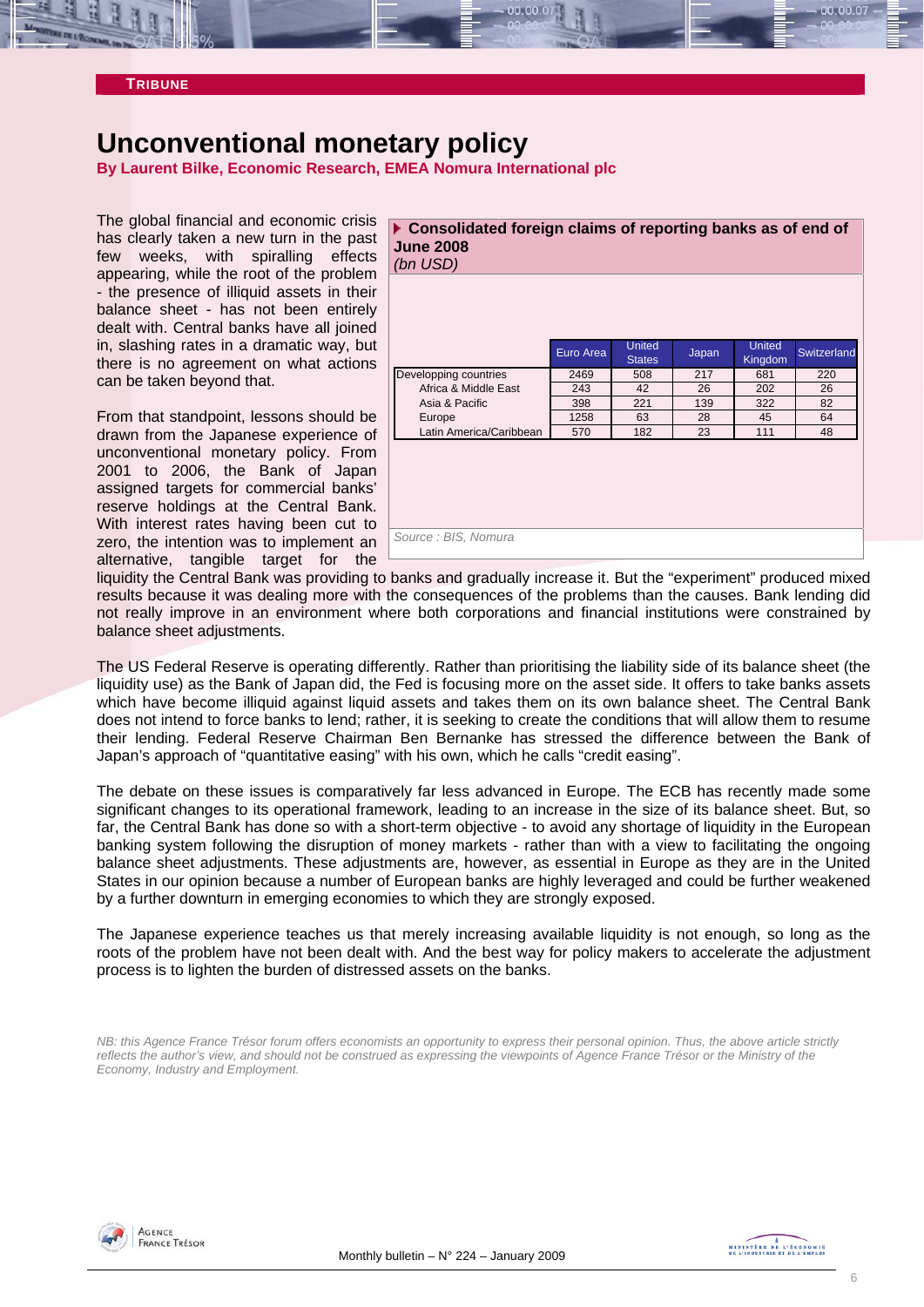

#### **TRIBUNE**

## **Unconventional monetary policy**

**By Laurent Bilke, Economic Research, EMEA Nomura International plc** 

The global financial and economic crisis has clearly taken a new turn in the past few weeks, with spiralling effects appearing, while the root of the problem - the presence of illiquid assets in their balance sheet - has not been entirely dealt with. Central banks have all joined in, slashing rates in a dramatic way, but there is no agreement on what actions can be taken beyond that.

From that standpoint, lessons should be drawn from the Japanese experience of unconventional monetary policy. From 2001 to 2006, the Bank of Japan assigned targets for commercial banks' reserve holdings at the Central Bank. With interest rates having been cut to zero, the intention was to implement an alternative, tangible target for the

| ▶ Consolidated foreign claims of reporting banks as of end of<br><b>June 2008</b><br>(bn USD) |           |                         |       |                          |             |
|-----------------------------------------------------------------------------------------------|-----------|-------------------------|-------|--------------------------|-------------|
|                                                                                               |           |                         |       |                          |             |
|                                                                                               | Euro Area | United<br><b>States</b> | Japan | <b>United</b><br>Kingdom | Switzerland |
| Developping countries                                                                         | 2469      | 508                     | 217   | 681                      | 220         |
| Africa & Middle East                                                                          | 243       | 42                      | 26    | 202                      | 26          |
| Asia & Pacific                                                                                | 398       | 221                     | 139   | 322                      | 82          |
| Europe                                                                                        | 1258      | 63                      | 28    | 45                       | 64          |
| Latin America/Caribbean                                                                       | 570       | 182                     | 23    | 111                      | 48          |
|                                                                                               |           |                         |       |                          |             |
| Source: BIS, Nomura                                                                           |           |                         |       |                          |             |

liquidity the Central Bank was providing to banks and gradually increase it. But the "experiment" produced mixed results because it was dealing more with the consequences of the problems than the causes. Bank lending did not really improve in an environment where both corporations and financial institutions were constrained by balance sheet adjustments.

The US Federal Reserve is operating differently. Rather than prioritising the liability side of its balance sheet (the liquidity use) as the Bank of Japan did, the Fed is focusing more on the asset side. It offers to take banks assets which have become illiquid against liquid assets and takes them on its own balance sheet. The Central Bank does not intend to force banks to lend; rather, it is seeking to create the conditions that will allow them to resume their lending. Federal Reserve Chairman Ben Bernanke has stressed the difference between the Bank of Japan's approach of "quantitative easing" with his own, which he calls "credit easing".

The debate on these issues is comparatively far less advanced in Europe. The ECB has recently made some significant changes to its operational framework, leading to an increase in the size of its balance sheet. But, so far, the Central Bank has done so with a short-term objective - to avoid any shortage of liquidity in the European banking system following the disruption of money markets - rather than with a view to facilitating the ongoing balance sheet adjustments. These adjustments are, however, as essential in Europe as they are in the United States in our opinion because a number of European banks are highly leveraged and could be further weakened by a further downturn in emerging economies to which they are strongly exposed.

The Japanese experience teaches us that merely increasing available liquidity is not enough, so long as the roots of the problem have not been dealt with. And the best way for policy makers to accelerate the adjustment process is to lighten the burden of distressed assets on the banks.

*NB: this Agence France Trésor forum offers economists an opportunity to express their personal opinion. Thus, the above article strictly reflects the author's view, and should not be construed as expressing the viewpoints of Agence France Trésor or the Ministry of the Economy, Industry and Employment.* 

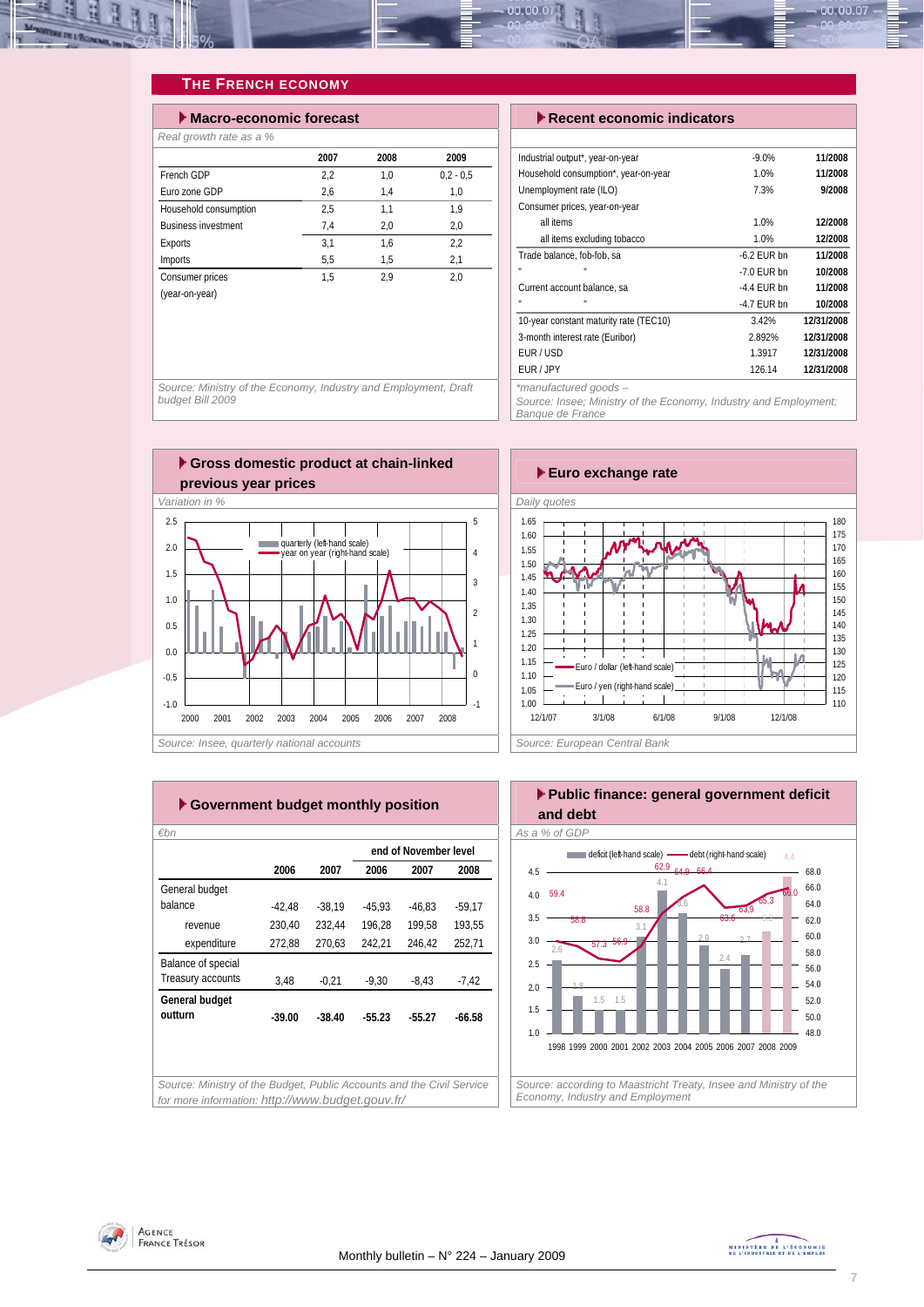

### **THE FRENCH ECONOMY**

| $\blacktriangleright$ Macro-economic forecast |      |      |             |  |  |  |  |  |  |  |
|-----------------------------------------------|------|------|-------------|--|--|--|--|--|--|--|
| Real growth rate as a %                       |      |      |             |  |  |  |  |  |  |  |
|                                               | 2007 | 2008 | 2009        |  |  |  |  |  |  |  |
| French GDP                                    | 2.2  | 1.0  | $0.2 - 0.5$ |  |  |  |  |  |  |  |
| Furo zone GDP                                 | 2,6  | 1,4  | 1,0         |  |  |  |  |  |  |  |
| Household consumption                         | 2.5  | 1.1  | 1.9         |  |  |  |  |  |  |  |
| <b>Business investment</b>                    | 7.4  | 2,0  | 2,0         |  |  |  |  |  |  |  |
| Exports                                       | 3,1  | 1.6  | 2,2         |  |  |  |  |  |  |  |
| <b>Imports</b>                                | 5,5  | 1.5  | 2,1         |  |  |  |  |  |  |  |
| Consumer prices                               | 1,5  | 2.9  | 2,0         |  |  |  |  |  |  |  |
| (year-on-year)                                |      |      |             |  |  |  |  |  |  |  |
|                                               |      |      |             |  |  |  |  |  |  |  |

#### **Execent economic indicators**

| Industrial output*, year-on-year       | $-9.0%$       | 11/2008    |
|----------------------------------------|---------------|------------|
| Household consumption*, year-on-year   | 1.0%          | 11/2008    |
| Unemployment rate (ILO)                | 7.3%          | 9/2008     |
| Consumer prices, year-on-year          |               |            |
| all items                              | 1.0%          | 12/2008    |
| all items excluding tobacco            | 1.0%          | 12/2008    |
| Trade balance, fob-fob, sa             | $-6.2$ FUR bn | 11/2008    |
| п                                      | $-7.0$ FUR bn | 10/2008    |
| Current account balance, sa            | $-4.4$ FUR bn | 11/2008    |
| п                                      | $-4.7$ FUR bn | 10/2008    |
| 10-year constant maturity rate (TEC10) | 3.42%         | 12/31/2008 |
| 3-month interest rate (Euribor)        | 2.892%        | 12/31/2008 |
| FUR / USD                              | 1.3917        | 12/31/2008 |
| FUR / JPY                              | 126.14        | 12/31/2008 |
| $*moment$                              |               |            |

*\*manufactured goods –* 

*Source: Insee; Ministry of the Economy, Industry and Employment; Banque de France* 

*Source: Ministry of the Economy, Industry and Employment, Draft budget Bill 2009* 





|                    |          |          |          | end of November level |          |
|--------------------|----------|----------|----------|-----------------------|----------|
|                    | 2006     | 2007     | 2006     | 2007                  | 2008     |
| General budget     |          |          |          |                       |          |
| balance            | $-42.48$ | $-38.19$ | $-45.93$ | $-46.83$              | $-59.17$ |
| revenue            | 230,40   | 232,44   | 196.28   | 199.58                | 193.55   |
| expenditure        | 272,88   | 270,63   | 242,21   | 246,42                | 252,71   |
| Balance of special |          |          |          |                       |          |
| Treasury accounts  | 3,48     | $-0.21$  | $-9.30$  | $-8,43$               | $-7,42$  |
| General budget     |          |          |          |                       |          |
| outturn            | $-39.00$ | $-38.40$ | $-55.23$ | $-55.27$              | $-66.58$ |
|                    |          |          |          |                       |          |
|                    |          |          |          |                       |          |



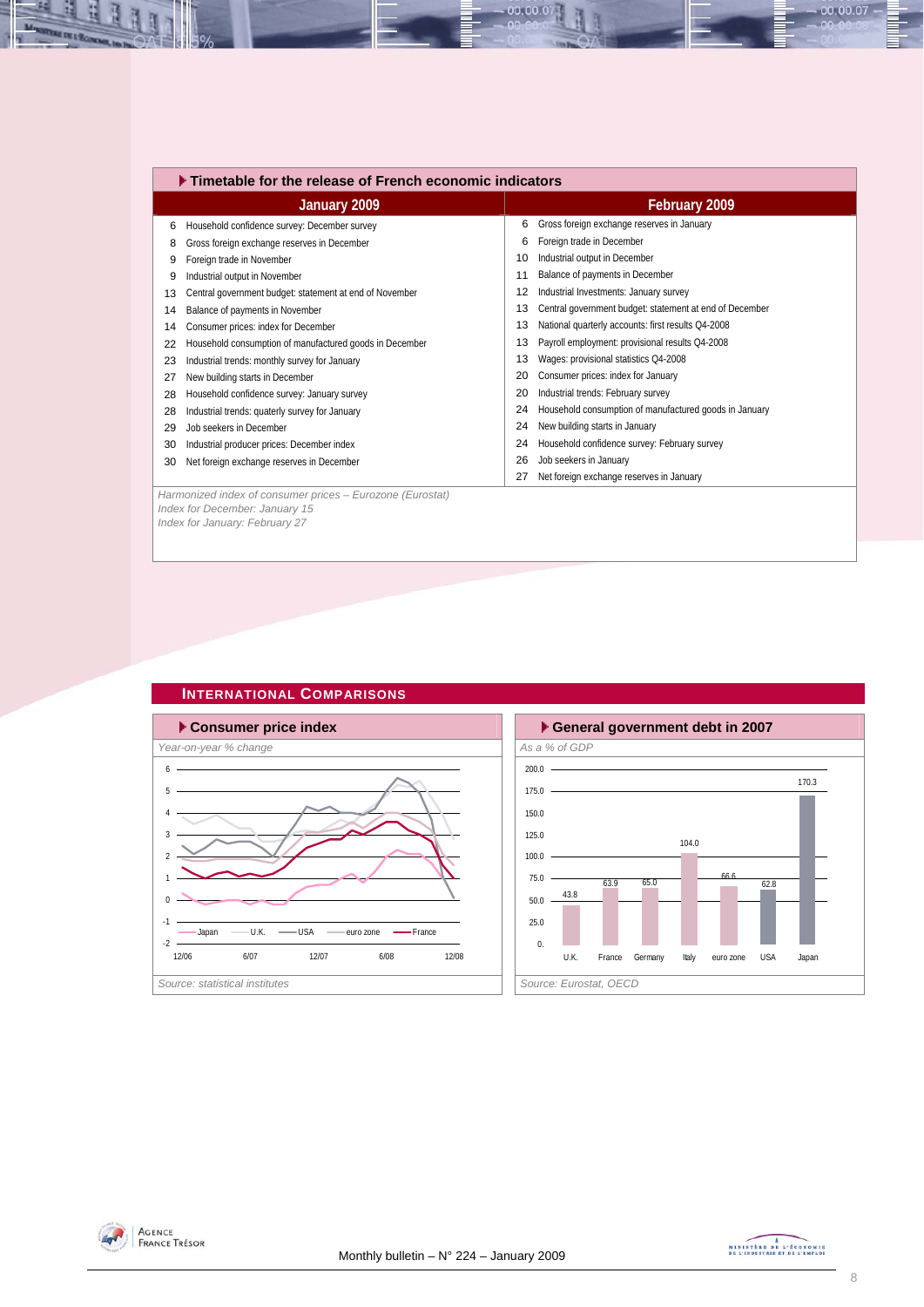|    | ▶ Timetable for the release of French economic indicators |    |                                                         |  |  |  |  |  |
|----|-----------------------------------------------------------|----|---------------------------------------------------------|--|--|--|--|--|
|    | January 2009                                              |    | February 2009                                           |  |  |  |  |  |
| 6  | Household confidence survey: December survey              | 6  | Gross foreign exchange reserves in January              |  |  |  |  |  |
| 8  | Gross foreign exchange reserves in December               | 6  | Foreign trade in December                               |  |  |  |  |  |
| 9  | Foreign trade in November                                 | 10 | Industrial output in December                           |  |  |  |  |  |
| 9  | Industrial output in November                             | 11 | Balance of payments in December                         |  |  |  |  |  |
| 13 | Central government budget: statement at end of November   | 12 | Industrial Investments: January survey                  |  |  |  |  |  |
| 14 | Balance of payments in November                           | 13 | Central government budget: statement at end of December |  |  |  |  |  |
| 14 | Consumer prices: index for December                       | 13 | National quarterly accounts: first results Q4-2008      |  |  |  |  |  |
| 22 | Household consumption of manufactured goods in December   | 13 | Payroll employment: provisional results Q4-2008         |  |  |  |  |  |
| 23 | Industrial trends: monthly survey for January             | 13 | Wages: provisional statistics Q4-2008                   |  |  |  |  |  |
| 27 | New building starts in December                           | 20 | Consumer prices: index for January                      |  |  |  |  |  |
| 28 | Household confidence survey: January survey               | 20 | Industrial trends: February survey                      |  |  |  |  |  |
| 28 | Industrial trends: quaterly survey for January            | 24 | Household consumption of manufactured goods in January  |  |  |  |  |  |
| 29 | Job seekers in December                                   | 24 | New building starts in January                          |  |  |  |  |  |
| 30 | Industrial producer prices: December index                | 24 | Household confidence survey: February survey            |  |  |  |  |  |
| 30 | Net foreign exchange reserves in December                 | 26 | Job seekers in January                                  |  |  |  |  |  |
|    |                                                           | 27 | Net foreign exchange reserves in January                |  |  |  |  |  |
|    | Harmonized index of consumer prices - Eurozone (Eurostat) |    |                                                         |  |  |  |  |  |
|    | Index for December: January 15                            |    |                                                         |  |  |  |  |  |
|    | Index for January: February 27                            |    |                                                         |  |  |  |  |  |

 $-00.00.07$ 

### **INTERNATIONAL COMPARISONS**







百

Æ

 $-00.00.07 -$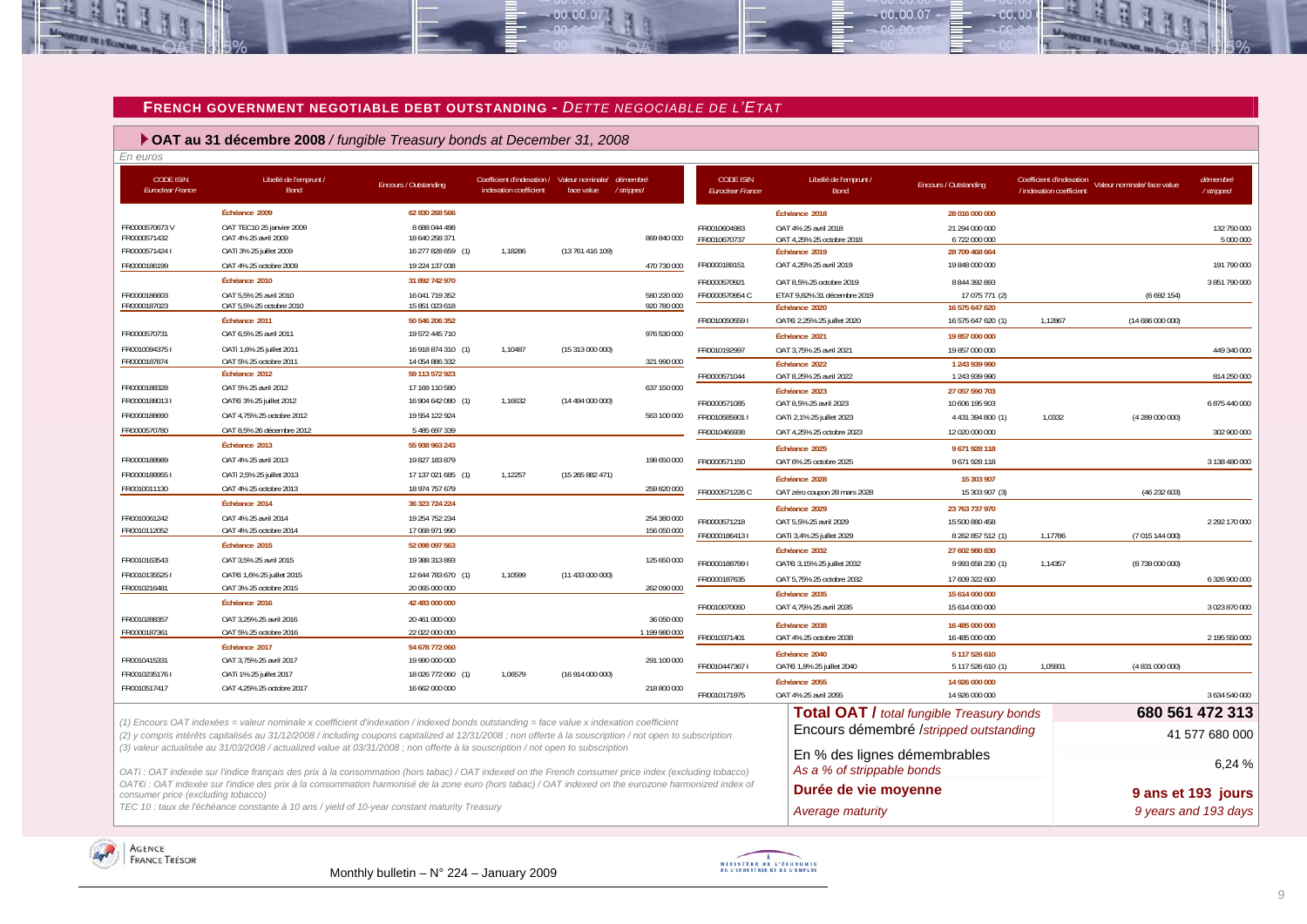

 $-00,00,07$ 

 **OAT au 31 décembre 2008** */ fungible Treasury bonds at December 31, 2008*

| En euros                                    |                                                                                                                                                                                                                                                                                                     |                                  |                                                                       |                  |                            |                                             |                                                            |                                                  |                                                                                  |                |                          |
|---------------------------------------------|-----------------------------------------------------------------------------------------------------------------------------------------------------------------------------------------------------------------------------------------------------------------------------------------------------|----------------------------------|-----------------------------------------------------------------------|------------------|----------------------------|---------------------------------------------|------------------------------------------------------------|--------------------------------------------------|----------------------------------------------------------------------------------|----------------|--------------------------|
| <b>CODE ISIN</b><br><b>Euroclear France</b> | Libellé de l'emprunt /<br><b>Bond</b>                                                                                                                                                                                                                                                               | Encours / Outstanding            | Coefficient d'indexation / Valeur nominale/<br>indexation coefficient | face value       | démembré<br>/stripped      | <b>CODE ISIN</b><br><b>Euroclear France</b> | Libellé de l'emprunt /<br>Bond                             | Encours / Outstanding                            | Coefficient d'indexation Valeur nominale/ face value<br>/ indexation coefficient |                | démembré<br>/ stripped   |
|                                             | Échéance 2009                                                                                                                                                                                                                                                                                       | 62 830 268 566                   |                                                                       |                  |                            |                                             | Échéance 2018                                              | 28 016 000 000                                   |                                                                                  |                |                          |
| FR0000570673V<br>FR0000571432               | OAT TEC10 25 janvier 2009<br>OAT 4% 25 avril 2009                                                                                                                                                                                                                                                   | 8 688 044 498<br>18 640 258 371  |                                                                       |                  | 869 840 000                | FR0010604983<br>FR0010670737                | OAT 4% 25 avril 2018<br>OAT 4,25% 25 octobre 2018          | 21 294 000 000<br>6 722 000 000                  |                                                                                  |                | 132 750 000<br>5 000 000 |
| FR00005714241                               | OATi 3% 25 juillet 2009                                                                                                                                                                                                                                                                             | 16 277 828 659 (1)               | 1,18286                                                               | (13 761 416 109) |                            |                                             | Échéance 2019                                              | 28 709 468 664                                   |                                                                                  |                |                          |
| FR0000186199                                | OAT 4% 25 octobre 2009                                                                                                                                                                                                                                                                              | 19 224 137 038                   |                                                                       |                  | 470 730 000                | FR0000189151                                | OAT 4,25% 25 avril 2019                                    | 19 848 000 000                                   |                                                                                  |                | 191 790 000              |
|                                             | Échéance 2010                                                                                                                                                                                                                                                                                       | 31 892 742 970                   |                                                                       |                  |                            | FR0000570921                                | OAT 8,5% 25 octobre 2019                                   | 8 844 392 893                                    |                                                                                  |                | 3 851 790 000            |
| FR0000186603<br>FR0000187023                | OAT 5,5% 25 avril 2010<br>OAT 5,5% 25 octobre 2010                                                                                                                                                                                                                                                  | 16 041 719 352<br>15 851 023 618 |                                                                       |                  | 580 220 000<br>920 780 000 | FR0000570954 C                              | ETAT 9,82% 31 décembre 2019<br>Échéance 2020               | 17 075 771 (2)<br>16 575 647 620                 |                                                                                  | (6692154)      |                          |
|                                             | Échéance 2011                                                                                                                                                                                                                                                                                       | 50 546 206 352                   |                                                                       |                  |                            | FR00100505591                               | OATEi 2,25% 25 juillet 2020                                | 16 575 647 620 (1)                               | 1,12867                                                                          | (14686000000)  |                          |
| FR0000570731                                | OAT 6,5% 25 avril 2011                                                                                                                                                                                                                                                                              | 19 572 445 710                   |                                                                       |                  | 976 530 000                |                                             | Échéance 2021                                              | 19 857 000 000                                   |                                                                                  |                |                          |
| FR00100943751                               | OATi 1,6% 25 juillet 2011                                                                                                                                                                                                                                                                           | 16 918 874 310 (1)               | 1.10487                                                               | (15 313 000 000) |                            | FR0010192997                                | OAT 3.75% 25 avril 2021                                    | 19 857 000 000                                   |                                                                                  |                | 449 340 000              |
| FR0000187874                                | OAT 5% 25 octobre 2011                                                                                                                                                                                                                                                                              | 14 054 886 332                   |                                                                       |                  | 321 990 000                |                                             | Échéance 2022                                              | 1 243 939 990                                    |                                                                                  |                |                          |
|                                             | Échéance 2012                                                                                                                                                                                                                                                                                       | 59 113 572 923                   |                                                                       |                  |                            | FR0000571044                                | OAT 8,25% 25 avril 2022                                    | 1 243 939 990                                    |                                                                                  |                | 814 250 000              |
| FR0000188328                                | OAT 5% 25 avril 2012                                                                                                                                                                                                                                                                                | 17 169 110 580                   |                                                                       |                  | 637 150 000                |                                             | Échéance 2023                                              | 27 057 590 703                                   |                                                                                  |                |                          |
| FR00001880131                               | OATEI 3% 25 juillet 2012                                                                                                                                                                                                                                                                            | 16 904 642 080 (1)               | 1,16632                                                               | (14494000000)    |                            | FR0000571085                                | OAT 8,5% 25 avril 2023                                     | 10 606 195 903                                   |                                                                                  |                | 6 875 440 000            |
| FR0000188690                                | OAT 4,75% 25 octobre 2012                                                                                                                                                                                                                                                                           | 19 554 122 924                   |                                                                       |                  | 563 100 000                | FR0010585901                                | OATi 2,1% 25 juillet 2023                                  | 4 431 394 800 (1)                                | 1,0332                                                                           | (4289000000)   |                          |
| FR0000570780                                | OAT 8,5% 26 décembre 2012                                                                                                                                                                                                                                                                           | 5 485 697 339                    |                                                                       |                  |                            | FR0010466938                                | OAT 4.25% 25 octobre 2023                                  | 12 020 000 000                                   |                                                                                  |                | 302 900 000              |
|                                             | Échéance 2013                                                                                                                                                                                                                                                                                       | 55 938 963 243                   |                                                                       |                  |                            |                                             | Échéance 2025                                              | 9671928118                                       |                                                                                  |                |                          |
| FR0000188989                                | OAT 4% 25 avril 2013                                                                                                                                                                                                                                                                                | 19 827 183 879                   |                                                                       |                  | 198 650 000                | FR0000571150                                | OAT 6% 25 octobre 2025                                     | 9 671 928 118                                    |                                                                                  |                | 3 138 480 000            |
| FR00001889551                               | OATi 2,5% 25 juillet 2013                                                                                                                                                                                                                                                                           | 17 137 021 685 (1)               | 1,12257                                                               | (15265882471)    |                            |                                             | Échéance 2028                                              | 15 303 907                                       |                                                                                  |                |                          |
| FR0010011130                                | OAT 4% 25 octobre 2013                                                                                                                                                                                                                                                                              | 18 974 757 679                   |                                                                       |                  | 259 820 000                | FR0000571226 C                              | OAT zéro coupon 28 mars 2028                               | 15 303 907 (3)                                   |                                                                                  | (46232603)     |                          |
|                                             | Échéance 2014                                                                                                                                                                                                                                                                                       | 36 323 724 224                   |                                                                       |                  |                            |                                             | Échéance 2029                                              | 23 763 737 970                                   |                                                                                  |                |                          |
| FR0010061242                                | OAT 4% 25 avril 2014                                                                                                                                                                                                                                                                                | 19 254 752 234                   |                                                                       |                  | 254 380 000                | FR0000571218                                | OAT 5,5% 25 avril 2029                                     | 15 500 880 458                                   |                                                                                  |                | 2 292 170 000            |
| FR0010112052                                | OAT 4% 25 octobre 2014                                                                                                                                                                                                                                                                              | 17 068 971 990                   |                                                                       |                  | 156 050 000                | FR00001864131                               | OATi 3,4% 25 juillet 2029                                  | 8 262 857 512 (1)                                | 1,17786                                                                          | (7015144000)   |                          |
|                                             | Échéance 2015                                                                                                                                                                                                                                                                                       | 52 098 097 563                   |                                                                       |                  |                            |                                             | Échéance 2032                                              | 27 602 980 830                                   |                                                                                  |                |                          |
| FR0010163543                                | OAT 3.5% 25 avril 2015                                                                                                                                                                                                                                                                              | 19 388 313 893                   |                                                                       |                  | 125 650 000                | FR00001887991                               | OATEi 3,15% 25 juillet 2032                                | 9 993 658 230 (1)                                | 1,14357                                                                          | (8739 000 000) |                          |
| FR00101355251                               | OATEi 1,6% 25 juillet 2015                                                                                                                                                                                                                                                                          | 12 644 783 670 (1)               | 1,10599                                                               | (11433000000)    |                            | FR0000187635                                | OAT 5,75% 25 octobre 2032                                  | 17 609 322 600                                   |                                                                                  |                | 6 326 900 000            |
| FR0010216481                                | OAT 3% 25 octobre 2015                                                                                                                                                                                                                                                                              | 20 065 000 000                   |                                                                       |                  | 262 090 000                |                                             | Échéance 2035                                              | 15 614 000 000                                   |                                                                                  |                |                          |
|                                             | Échéance 2016                                                                                                                                                                                                                                                                                       | 42 483 000 000                   |                                                                       |                  |                            | FR0010070060                                | OAT 4,75% 25 avril 2035                                    | 15 614 000 000                                   |                                                                                  |                | 3 023 870 000            |
| FR0010288357                                | OAT 3.25% 25 avril 2016                                                                                                                                                                                                                                                                             | 20 461 000 000                   |                                                                       |                  | 36 050 000                 |                                             | Échéance 2038                                              | 16 485 000 000                                   |                                                                                  |                |                          |
| FR0000187361                                | OAT 5% 25 octobre 2016                                                                                                                                                                                                                                                                              | 22 022 000 000                   |                                                                       |                  | 1 199 980 000              | FR0010371401                                | OAT 4% 25 octobre 2038                                     | 16 485 000 000                                   |                                                                                  |                | 2 195 550 000            |
|                                             | Échéance 2017                                                                                                                                                                                                                                                                                       | 54 678 772 060                   |                                                                       |                  |                            |                                             | Échéance 2040                                              | 5 117 526 610                                    |                                                                                  |                |                          |
| FR0010415331                                | OAT 3,75% 25 avril 2017                                                                                                                                                                                                                                                                             | 19 990 000 000                   |                                                                       |                  | 291 100 000                | FR00104473671                               | OATEI 1,8% 25 juillet 2040                                 | 5 117 526 610 (1                                 | 1,05931                                                                          | (4831000000)   |                          |
| FR00102351761                               | OATi 1% 25 juillet 2017                                                                                                                                                                                                                                                                             | 18 026 772 060 (1)               | 1.06579                                                               | (16914000000)    |                            |                                             | Échéance 2055                                              | 14 926 000 000                                   |                                                                                  |                |                          |
| FR0010517417                                | OAT 4.25% 25 octobre 2017                                                                                                                                                                                                                                                                           | 16 662 000 000                   |                                                                       |                  | 218 800 000                | FR0010171975                                | OAT 4% 25 avril 2055                                       | 14 926 000 000                                   |                                                                                  |                | 3 634 540 000            |
|                                             |                                                                                                                                                                                                                                                                                                     |                                  |                                                                       |                  |                            |                                             |                                                            | <b>Total OAT / total fungible Treasury bonds</b> |                                                                                  |                | 680 561 472 313          |
|                                             | (1) Encours OAT indexées = valeur nominale x coefficient d'indexation / indexed bonds outstanding = face value x indexation coefficient<br>(2) y compris intérêts capitalisés au 31/12/2008 / including coupons capitalized at 12/31/2008; non offerte à la souscription / not open to subscription |                                  |                                                                       |                  |                            |                                             |                                                            | Encours démembré /stripped outstanding           |                                                                                  |                | 41 577 680 000           |
|                                             | (3) valeur actualisée au 31/03/2008 / actualized value at 03/31/2008 ; non offerte à la souscription / not open to subscription<br>OATi: OAT indexée sur l'indice français des prix à la consommation (hors tabac) / OAT indexed on the French consumer price index (excluding tobacco)             |                                  |                                                                       |                  |                            |                                             | En % des lignes démembrables<br>As a % of strippable bonds |                                                  |                                                                                  |                | 6,24 %                   |
| consumer price (excluding tobacco)          | OAT€i : OAT indexée sur l'indice des prix à la consommation harmonisé de la zone euro (hors tabac) / OAT indexed on the eurozone harmonized index of                                                                                                                                                |                                  |                                                                       |                  |                            |                                             | Durée de vie moyenne                                       |                                                  |                                                                                  |                | 9 ans et 193 jours       |
|                                             | TEC 10 : taux de l'échéance constante à 10 ans / yield of 10-year constant maturity Treasury                                                                                                                                                                                                        |                                  |                                                                       |                  |                            |                                             | Average maturity                                           |                                                  |                                                                                  |                | 9 years and 193 days     |





 $00007$ 

nn nn